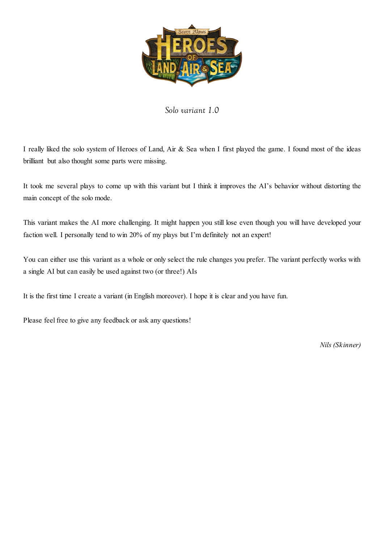

*Solo variant 1.0* 

I really liked the solo system of Heroes of Land, Air & Sea when I first played the game. I found most of the ideas brilliant but also thought some parts were missing.

It took me several plays to come up with this variant but I think it improves the AI's behavior without distorting the main concept of the solo mode.

This variant makes the AI more challenging. It might happen you still lose even though you will have developed your faction well. I personally tend to win 20% of my plays but I'm definitely not an expert!

You can either use this variant as a whole or only select the rule changes you prefer. The variant perfectly works with a single AI but can easily be used against two (or three!) AIs

It is the first time I create a variant (in English moreover). I hope it is clear and you have fun.

Please feel free to give any feedback or ask any questions!

*Nils (Skinner)*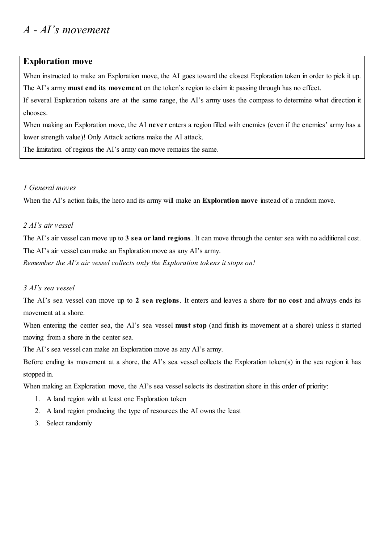### **Exploration move**

When instructed to make an Exploration move, the AI goes toward the closest Exploration token in order to pick it up. The AI's army **must end its movement** on the token's region to claim it: passing through has no effect.

If several Exploration tokens are at the same range, the AI's army uses the compass to determine what direction it chooses.

When making an Exploration move, the AI **never** enters a region filled with enemies (even if the enemies' army has a lower strength value)! Only Attack actions make the AI attack.

The limitation of regions the AI's army can move remains the same.

### *1 General moves*

When the AI's action fails, the hero and its army will make an **Exploration move** instead of a random move.

### *2 AI's air vessel*

The AI's air vessel can move up to **3 sea or land regions**. It can move through the center sea with no additional cost. The AI's air vessel can make an Exploration move as any AI's army. *Remember the AI's air vessel collects only the Exploration tokens it stops on!* 

### *3 AI's sea vessel*

The AI's sea vessel can move up to **2 sea regions**. It enters and leaves a shore **for no cost** and always ends its movement at a shore.

When entering the center sea, the AI's sea vessel **must stop** (and finish its movement at a shore) unless it started moving from a shore in the center sea.

The AI's sea vessel can make an Exploration move as any AI's army.

Before ending its movement at a shore, the AI's sea vessel collects the Exploration token(s) in the sea region it has stopped in.

When making an Exploration move, the AI's sea vessel selects its destination shore in this order of priority:

- 1. A land region with at least one Exploration token
- 2. A land region producing the type of resources the AI owns the least
- 3. Select randomly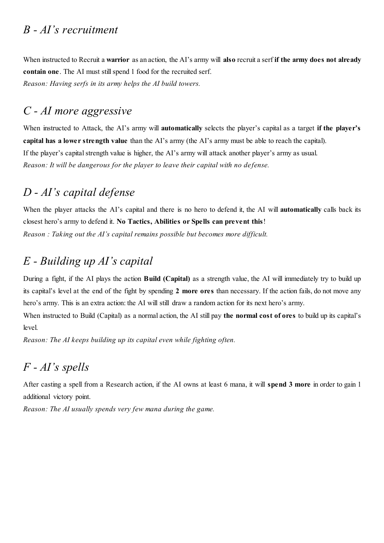### *B - AI's recruitment*

When instructed to Recruit a **warrior** as an action, the AI's army will **also** recruit a serf **if the army does not already contain one**. The AI must still spend 1 food for the recruited serf. *Reason: Having serfs in its army helps the AI build towers.* 

# *C - AI more aggressive*

When instructed to Attack, the AI's army will **automatically** selects the player's capital as a target **if the player's capital has a lower strength value** than the AI's army (the AI's army must be able to reach the capital). If the player's capital strength value is higher, the AI's army will attack another player's army as usual. *Reason: It will be dangerous for the player to leave their capital with no defense.* 

## *D - AI's capital defense*

When the player attacks the AI's capital and there is no hero to defend it, the AI will **automatically** calls back its closest hero's army to defend it. **No Tactics, Abilities or Spells can prevent this**! *Reason : Taking out the AI's capital remains possible but becomes more difficult.*

## *E - Building up AI's capital*

During a fight, if the AI plays the action **Build (Capital)** as a strength value, the AI will immediately try to build up its capital's level at the end of the fight by spending **2 more ores** than necessary. If the action fails, do not move any hero's army. This is an extra action: the AI will still draw a random action for its next hero's army.

When instructed to Build (Capital) as a normal action, the AI still pay **the normal cost of ores** to build up its capital's level.

*Reason: The AI keeps building up its capital even while fighting often.* 

### *F - AI's spells*

After casting a spell from a Research action, if the AI owns at least 6 mana, it will **spend 3 more** in order to gain 1 additional victory point.

*Reason: The AI usually spends very few mana during the game.*